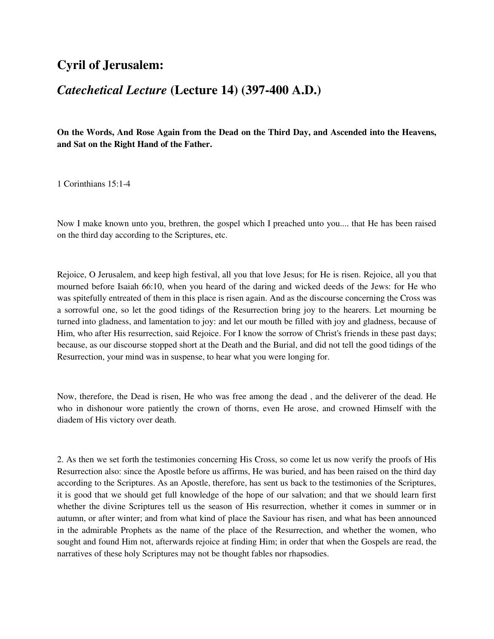## **Cyril of Jerusalem:**

## *Catechetical Lecture* **(Lecture 14) (397-400 A.D.)**

**On the Words, And Rose Again from the Dead on the Third Day, and Ascended into the Heavens, and Sat on the Right Hand of the Father.** 

1 Corinthians 15:1-4

Now I make known unto you, brethren, the gospel which I preached unto you.... that He has been raised on the third day according to the Scriptures, etc.

Rejoice, O Jerusalem, and keep high festival, all you that love Jesus; for He is risen. Rejoice, all you that mourned before Isaiah 66:10, when you heard of the daring and wicked deeds of the Jews: for He who was spitefully entreated of them in this place is risen again. And as the discourse concerning the Cross was a sorrowful one, so let the good tidings of the Resurrection bring joy to the hearers. Let mourning be turned into gladness, and lamentation to joy: and let our mouth be filled with joy and gladness, because of Him, who after His resurrection, said Rejoice. For I know the sorrow of Christ's friends in these past days; because, as our discourse stopped short at the Death and the Burial, and did not tell the good tidings of the Resurrection, your mind was in suspense, to hear what you were longing for.

Now, therefore, the Dead is risen, He who was free among the dead , and the deliverer of the dead. He who in dishonour wore patiently the crown of thorns, even He arose, and crowned Himself with the diadem of His victory over death.

2. As then we set forth the testimonies concerning His Cross, so come let us now verify the proofs of His Resurrection also: since the Apostle before us affirms, He was buried, and has been raised on the third day according to the Scriptures. As an Apostle, therefore, has sent us back to the testimonies of the Scriptures, it is good that we should get full knowledge of the hope of our salvation; and that we should learn first whether the divine Scriptures tell us the season of His resurrection, whether it comes in summer or in autumn, or after winter; and from what kind of place the Saviour has risen, and what has been announced in the admirable Prophets as the name of the place of the Resurrection, and whether the women, who sought and found Him not, afterwards rejoice at finding Him; in order that when the Gospels are read, the narratives of these holy Scriptures may not be thought fables nor rhapsodies.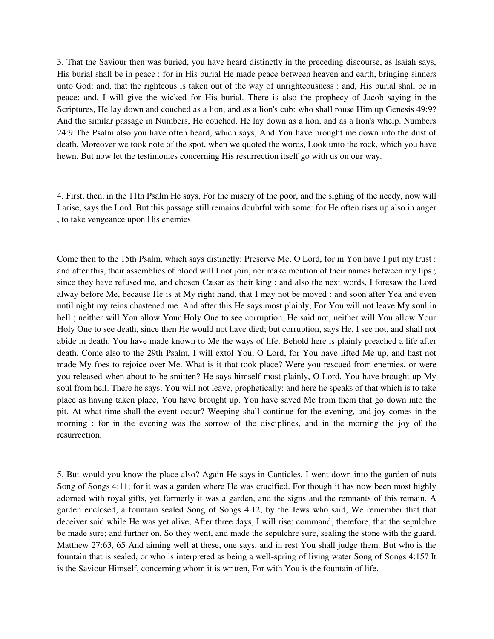3. That the Saviour then was buried, you have heard distinctly in the preceding discourse, as Isaiah says, His burial shall be in peace : for in His burial He made peace between heaven and earth, bringing sinners unto God: and, that the righteous is taken out of the way of unrighteousness : and, His burial shall be in peace: and, I will give the wicked for His burial. There is also the prophecy of Jacob saying in the Scriptures, He lay down and couched as a lion, and as a lion's cub: who shall rouse Him up Genesis 49:9? And the similar passage in Numbers, He couched, He lay down as a lion, and as a lion's whelp. Numbers 24:9 The Psalm also you have often heard, which says, And You have brought me down into the dust of death. Moreover we took note of the spot, when we quoted the words, Look unto the rock, which you have hewn. But now let the testimonies concerning His resurrection itself go with us on our way.

4. First, then, in the 11th Psalm He says, For the misery of the poor, and the sighing of the needy, now will I arise, says the Lord. But this passage still remains doubtful with some: for He often rises up also in anger , to take vengeance upon His enemies.

Come then to the 15th Psalm, which says distinctly: Preserve Me, O Lord, for in You have I put my trust : and after this, their assemblies of blood will I not join, nor make mention of their names between my lips ; since they have refused me, and chosen Cæsar as their king : and also the next words, I foresaw the Lord alway before Me, because He is at My right hand, that I may not be moved : and soon after Yea and even until night my reins chastened me. And after this He says most plainly, For You will not leave My soul in hell ; neither will You allow Your Holy One to see corruption. He said not, neither will You allow Your Holy One to see death, since then He would not have died; but corruption, says He, I see not, and shall not abide in death. You have made known to Me the ways of life. Behold here is plainly preached a life after death. Come also to the 29th Psalm, I will extol You, O Lord, for You have lifted Me up, and hast not made My foes to rejoice over Me. What is it that took place? Were you rescued from enemies, or were you released when about to be smitten? He says himself most plainly, O Lord, You have brought up My soul from hell. There he says, You will not leave, prophetically: and here he speaks of that which is to take place as having taken place, You have brought up. You have saved Me from them that go down into the pit. At what time shall the event occur? Weeping shall continue for the evening, and joy comes in the morning : for in the evening was the sorrow of the disciplines, and in the morning the joy of the resurrection.

5. But would you know the place also? Again He says in Canticles, I went down into the garden of nuts Song of Songs 4:11; for it was a garden where He was crucified. For though it has now been most highly adorned with royal gifts, yet formerly it was a garden, and the signs and the remnants of this remain. A garden enclosed, a fountain sealed Song of Songs 4:12, by the Jews who said, We remember that that deceiver said while He was yet alive, After three days, I will rise: command, therefore, that the sepulchre be made sure; and further on, So they went, and made the sepulchre sure, sealing the stone with the guard. Matthew 27:63, 65 And aiming well at these, one says, and in rest You shall judge them. But who is the fountain that is sealed, or who is interpreted as being a well-spring of living water Song of Songs 4:15? It is the Saviour Himself, concerning whom it is written, For with You is the fountain of life.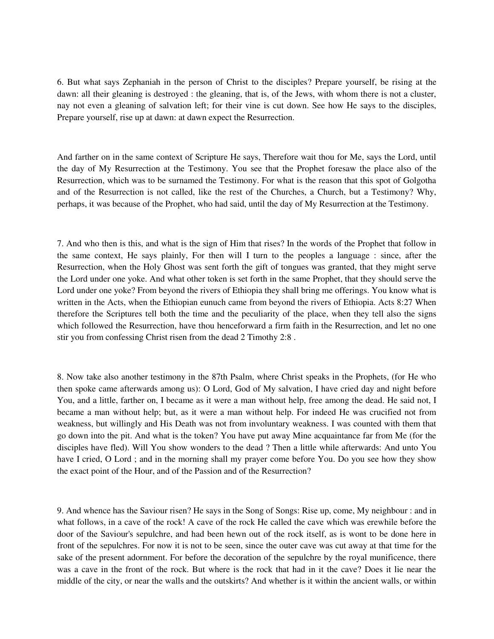6. But what says Zephaniah in the person of Christ to the disciples? Prepare yourself, be rising at the dawn: all their gleaning is destroyed : the gleaning, that is, of the Jews, with whom there is not a cluster, nay not even a gleaning of salvation left; for their vine is cut down. See how He says to the disciples, Prepare yourself, rise up at dawn: at dawn expect the Resurrection.

And farther on in the same context of Scripture He says, Therefore wait thou for Me, says the Lord, until the day of My Resurrection at the Testimony. You see that the Prophet foresaw the place also of the Resurrection, which was to be surnamed the Testimony. For what is the reason that this spot of Golgotha and of the Resurrection is not called, like the rest of the Churches, a Church, but a Testimony? Why, perhaps, it was because of the Prophet, who had said, until the day of My Resurrection at the Testimony.

7. And who then is this, and what is the sign of Him that rises? In the words of the Prophet that follow in the same context, He says plainly, For then will I turn to the peoples a language : since, after the Resurrection, when the Holy Ghost was sent forth the gift of tongues was granted, that they might serve the Lord under one yoke. And what other token is set forth in the same Prophet, that they should serve the Lord under one yoke? From beyond the rivers of Ethiopia they shall bring me offerings. You know what is written in the Acts, when the Ethiopian eunuch came from beyond the rivers of Ethiopia. Acts 8:27 When therefore the Scriptures tell both the time and the peculiarity of the place, when they tell also the signs which followed the Resurrection, have thou henceforward a firm faith in the Resurrection, and let no one stir you from confessing Christ risen from the dead 2 Timothy 2:8 .

8. Now take also another testimony in the 87th Psalm, where Christ speaks in the Prophets, (for He who then spoke came afterwards among us): O Lord, God of My salvation, I have cried day and night before You, and a little, farther on, I became as it were a man without help, free among the dead. He said not, I became a man without help; but, as it were a man without help. For indeed He was crucified not from weakness, but willingly and His Death was not from involuntary weakness. I was counted with them that go down into the pit. And what is the token? You have put away Mine acquaintance far from Me (for the disciples have fled). Will You show wonders to the dead ? Then a little while afterwards: And unto You have I cried, O Lord ; and in the morning shall my prayer come before You. Do you see how they show the exact point of the Hour, and of the Passion and of the Resurrection?

9. And whence has the Saviour risen? He says in the Song of Songs: Rise up, come, My neighbour : and in what follows, in a cave of the rock! A cave of the rock He called the cave which was erewhile before the door of the Saviour's sepulchre, and had been hewn out of the rock itself, as is wont to be done here in front of the sepulchres. For now it is not to be seen, since the outer cave was cut away at that time for the sake of the present adornment. For before the decoration of the sepulchre by the royal munificence, there was a cave in the front of the rock. But where is the rock that had in it the cave? Does it lie near the middle of the city, or near the walls and the outskirts? And whether is it within the ancient walls, or within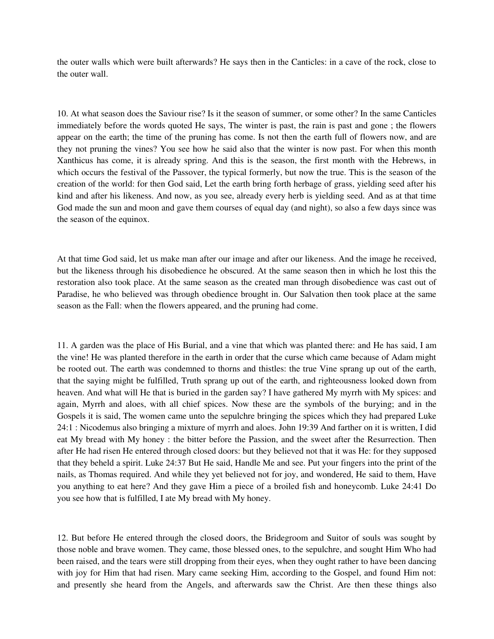the outer walls which were built afterwards? He says then in the Canticles: in a cave of the rock, close to the outer wall.

10. At what season does the Saviour rise? Is it the season of summer, or some other? In the same Canticles immediately before the words quoted He says, The winter is past, the rain is past and gone ; the flowers appear on the earth; the time of the pruning has come. Is not then the earth full of flowers now, and are they not pruning the vines? You see how he said also that the winter is now past. For when this month Xanthicus has come, it is already spring. And this is the season, the first month with the Hebrews, in which occurs the festival of the Passover, the typical formerly, but now the true. This is the season of the creation of the world: for then God said, Let the earth bring forth herbage of grass, yielding seed after his kind and after his likeness. And now, as you see, already every herb is yielding seed. And as at that time God made the sun and moon and gave them courses of equal day (and night), so also a few days since was the season of the equinox.

At that time God said, let us make man after our image and after our likeness. And the image he received, but the likeness through his disobedience he obscured. At the same season then in which he lost this the restoration also took place. At the same season as the created man through disobedience was cast out of Paradise, he who believed was through obedience brought in. Our Salvation then took place at the same season as the Fall: when the flowers appeared, and the pruning had come.

11. A garden was the place of His Burial, and a vine that which was planted there: and He has said, I am the vine! He was planted therefore in the earth in order that the curse which came because of Adam might be rooted out. The earth was condemned to thorns and thistles: the true Vine sprang up out of the earth, that the saying might be fulfilled, Truth sprang up out of the earth, and righteousness looked down from heaven. And what will He that is buried in the garden say? I have gathered My myrrh with My spices: and again, Myrrh and aloes, with all chief spices. Now these are the symbols of the burying; and in the Gospels it is said, The women came unto the sepulchre bringing the spices which they had prepared Luke 24:1 : Nicodemus also bringing a mixture of myrrh and aloes. John 19:39 And farther on it is written, I did eat My bread with My honey : the bitter before the Passion, and the sweet after the Resurrection. Then after He had risen He entered through closed doors: but they believed not that it was He: for they supposed that they beheld a spirit. Luke 24:37 But He said, Handle Me and see. Put your fingers into the print of the nails, as Thomas required. And while they yet believed not for joy, and wondered, He said to them, Have you anything to eat here? And they gave Him a piece of a broiled fish and honeycomb. Luke 24:41 Do you see how that is fulfilled, I ate My bread with My honey.

12. But before He entered through the closed doors, the Bridegroom and Suitor of souls was sought by those noble and brave women. They came, those blessed ones, to the sepulchre, and sought Him Who had been raised, and the tears were still dropping from their eyes, when they ought rather to have been dancing with joy for Him that had risen. Mary came seeking Him, according to the Gospel, and found Him not: and presently she heard from the Angels, and afterwards saw the Christ. Are then these things also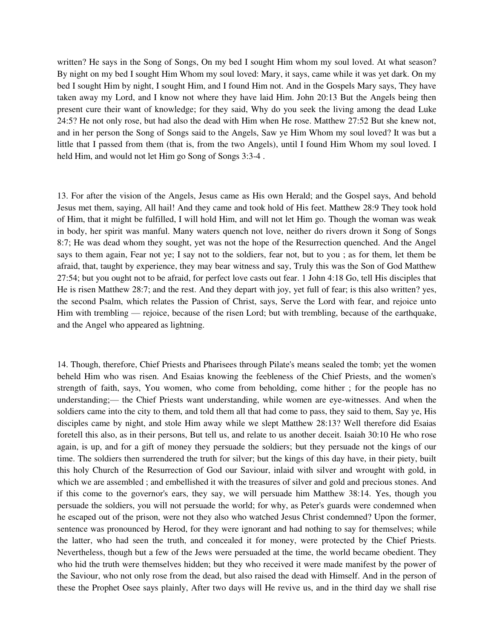written? He says in the Song of Songs, On my bed I sought Him whom my soul loved. At what season? By night on my bed I sought Him Whom my soul loved: Mary, it says, came while it was yet dark. On my bed I sought Him by night, I sought Him, and I found Him not. And in the Gospels Mary says, They have taken away my Lord, and I know not where they have laid Him. John 20:13 But the Angels being then present cure their want of knowledge; for they said, Why do you seek the living among the dead Luke 24:5? He not only rose, but had also the dead with Him when He rose. Matthew 27:52 But she knew not, and in her person the Song of Songs said to the Angels, Saw ye Him Whom my soul loved? It was but a little that I passed from them (that is, from the two Angels), until I found Him Whom my soul loved. I held Him, and would not let Him go Song of Songs 3:3-4 .

13. For after the vision of the Angels, Jesus came as His own Herald; and the Gospel says, And behold Jesus met them, saying, All hail! And they came and took hold of His feet. Matthew 28:9 They took hold of Him, that it might be fulfilled, I will hold Him, and will not let Him go. Though the woman was weak in body, her spirit was manful. Many waters quench not love, neither do rivers drown it Song of Songs 8:7; He was dead whom they sought, yet was not the hope of the Resurrection quenched. And the Angel says to them again, Fear not ye; I say not to the soldiers, fear not, but to you ; as for them, let them be afraid, that, taught by experience, they may bear witness and say, Truly this was the Son of God Matthew 27:54; but you ought not to be afraid, for perfect love casts out fear. 1 John 4:18 Go, tell His disciples that He is risen Matthew 28:7; and the rest. And they depart with joy, yet full of fear; is this also written? yes, the second Psalm, which relates the Passion of Christ, says, Serve the Lord with fear, and rejoice unto Him with trembling — rejoice, because of the risen Lord; but with trembling, because of the earthquake, and the Angel who appeared as lightning.

14. Though, therefore, Chief Priests and Pharisees through Pilate's means sealed the tomb; yet the women beheld Him who was risen. And Esaias knowing the feebleness of the Chief Priests, and the women's strength of faith, says, You women, who come from beholding, come hither ; for the people has no understanding;— the Chief Priests want understanding, while women are eye-witnesses. And when the soldiers came into the city to them, and told them all that had come to pass, they said to them, Say ye, His disciples came by night, and stole Him away while we slept Matthew 28:13? Well therefore did Esaias foretell this also, as in their persons, But tell us, and relate to us another deceit. Isaiah 30:10 He who rose again, is up, and for a gift of money they persuade the soldiers; but they persuade not the kings of our time. The soldiers then surrendered the truth for silver; but the kings of this day have, in their piety, built this holy Church of the Resurrection of God our Saviour, inlaid with silver and wrought with gold, in which we are assembled ; and embellished it with the treasures of silver and gold and precious stones. And if this come to the governor's ears, they say, we will persuade him Matthew 38:14. Yes, though you persuade the soldiers, you will not persuade the world; for why, as Peter's guards were condemned when he escaped out of the prison, were not they also who watched Jesus Christ condemned? Upon the former, sentence was pronounced by Herod, for they were ignorant and had nothing to say for themselves; while the latter, who had seen the truth, and concealed it for money, were protected by the Chief Priests. Nevertheless, though but a few of the Jews were persuaded at the time, the world became obedient. They who hid the truth were themselves hidden; but they who received it were made manifest by the power of the Saviour, who not only rose from the dead, but also raised the dead with Himself. And in the person of these the Prophet Osee says plainly, After two days will He revive us, and in the third day we shall rise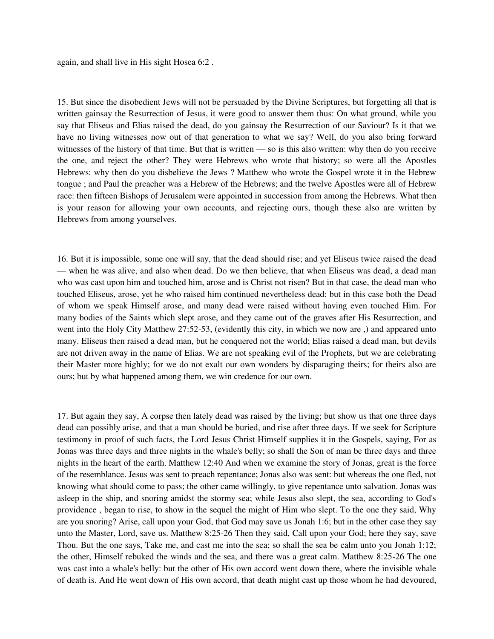again, and shall live in His sight Hosea 6:2 .

15. But since the disobedient Jews will not be persuaded by the Divine Scriptures, but forgetting all that is written gainsay the Resurrection of Jesus, it were good to answer them thus: On what ground, while you say that Eliseus and Elias raised the dead, do you gainsay the Resurrection of our Saviour? Is it that we have no living witnesses now out of that generation to what we say? Well, do you also bring forward witnesses of the history of that time. But that is written — so is this also written: why then do you receive the one, and reject the other? They were Hebrews who wrote that history; so were all the Apostles Hebrews: why then do you disbelieve the Jews ? Matthew who wrote the Gospel wrote it in the Hebrew tongue ; and Paul the preacher was a Hebrew of the Hebrews; and the twelve Apostles were all of Hebrew race: then fifteen Bishops of Jerusalem were appointed in succession from among the Hebrews. What then is your reason for allowing your own accounts, and rejecting ours, though these also are written by Hebrews from among yourselves.

16. But it is impossible, some one will say, that the dead should rise; and yet Eliseus twice raised the dead — when he was alive, and also when dead. Do we then believe, that when Eliseus was dead, a dead man who was cast upon him and touched him, arose and is Christ not risen? But in that case, the dead man who touched Eliseus, arose, yet he who raised him continued nevertheless dead: but in this case both the Dead of whom we speak Himself arose, and many dead were raised without having even touched Him. For many bodies of the Saints which slept arose, and they came out of the graves after His Resurrection, and went into the Holy City Matthew 27:52-53, (evidently this city, in which we now are ,) and appeared unto many. Eliseus then raised a dead man, but he conquered not the world; Elias raised a dead man, but devils are not driven away in the name of Elias. We are not speaking evil of the Prophets, but we are celebrating their Master more highly; for we do not exalt our own wonders by disparaging theirs; for theirs also are ours; but by what happened among them, we win credence for our own.

17. But again they say, A corpse then lately dead was raised by the living; but show us that one three days dead can possibly arise, and that a man should be buried, and rise after three days. If we seek for Scripture testimony in proof of such facts, the Lord Jesus Christ Himself supplies it in the Gospels, saying, For as Jonas was three days and three nights in the whale's belly; so shall the Son of man be three days and three nights in the heart of the earth. Matthew 12:40 And when we examine the story of Jonas, great is the force of the resemblance. Jesus was sent to preach repentance; Jonas also was sent: but whereas the one fled, not knowing what should come to pass; the other came willingly, to give repentance unto salvation. Jonas was asleep in the ship, and snoring amidst the stormy sea; while Jesus also slept, the sea, according to God's providence , began to rise, to show in the sequel the might of Him who slept. To the one they said, Why are you snoring? Arise, call upon your God, that God may save us Jonah 1:6; but in the other case they say unto the Master, Lord, save us. Matthew 8:25-26 Then they said, Call upon your God; here they say, save Thou. But the one says, Take me, and cast me into the sea; so shall the sea be calm unto you Jonah 1:12; the other, Himself rebuked the winds and the sea, and there was a great calm. Matthew 8:25-26 The one was cast into a whale's belly: but the other of His own accord went down there, where the invisible whale of death is. And He went down of His own accord, that death might cast up those whom he had devoured,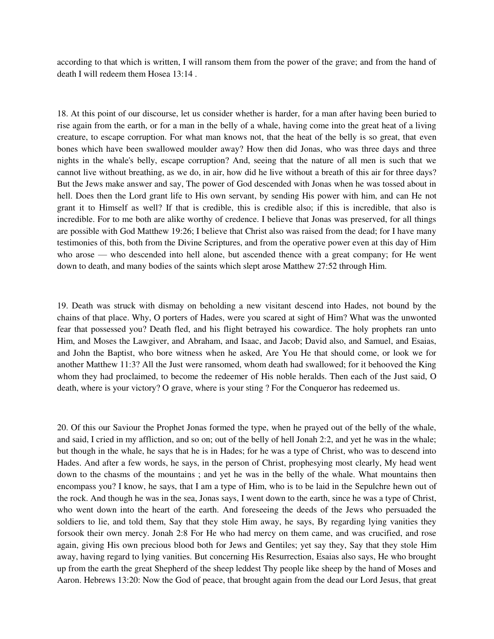according to that which is written, I will ransom them from the power of the grave; and from the hand of death I will redeem them Hosea 13:14 .

18. At this point of our discourse, let us consider whether is harder, for a man after having been buried to rise again from the earth, or for a man in the belly of a whale, having come into the great heat of a living creature, to escape corruption. For what man knows not, that the heat of the belly is so great, that even bones which have been swallowed moulder away? How then did Jonas, who was three days and three nights in the whale's belly, escape corruption? And, seeing that the nature of all men is such that we cannot live without breathing, as we do, in air, how did he live without a breath of this air for three days? But the Jews make answer and say, The power of God descended with Jonas when he was tossed about in hell. Does then the Lord grant life to His own servant, by sending His power with him, and can He not grant it to Himself as well? If that is credible, this is credible also; if this is incredible, that also is incredible. For to me both are alike worthy of credence. I believe that Jonas was preserved, for all things are possible with God Matthew 19:26; I believe that Christ also was raised from the dead; for I have many testimonies of this, both from the Divine Scriptures, and from the operative power even at this day of Him who arose — who descended into hell alone, but ascended thence with a great company; for He went down to death, and many bodies of the saints which slept arose Matthew 27:52 through Him.

19. Death was struck with dismay on beholding a new visitant descend into Hades, not bound by the chains of that place. Why, O porters of Hades, were you scared at sight of Him? What was the unwonted fear that possessed you? Death fled, and his flight betrayed his cowardice. The holy prophets ran unto Him, and Moses the Lawgiver, and Abraham, and Isaac, and Jacob; David also, and Samuel, and Esaias, and John the Baptist, who bore witness when he asked, Are You He that should come, or look we for another Matthew 11:3? All the Just were ransomed, whom death had swallowed; for it behooved the King whom they had proclaimed, to become the redeemer of His noble heralds. Then each of the Just said, O death, where is your victory? O grave, where is your sting ? For the Conqueror has redeemed us.

20. Of this our Saviour the Prophet Jonas formed the type, when he prayed out of the belly of the whale, and said, I cried in my affliction, and so on; out of the belly of hell Jonah 2:2, and yet he was in the whale; but though in the whale, he says that he is in Hades; for he was a type of Christ, who was to descend into Hades. And after a few words, he says, in the person of Christ, prophesying most clearly, My head went down to the chasms of the mountains ; and yet he was in the belly of the whale. What mountains then encompass you? I know, he says, that I am a type of Him, who is to be laid in the Sepulchre hewn out of the rock. And though he was in the sea, Jonas says, I went down to the earth, since he was a type of Christ, who went down into the heart of the earth. And foreseeing the deeds of the Jews who persuaded the soldiers to lie, and told them, Say that they stole Him away, he says, By regarding lying vanities they forsook their own mercy. Jonah 2:8 For He who had mercy on them came, and was crucified, and rose again, giving His own precious blood both for Jews and Gentiles; yet say they, Say that they stole Him away, having regard to lying vanities. But concerning His Resurrection, Esaias also says, He who brought up from the earth the great Shepherd of the sheep leddest Thy people like sheep by the hand of Moses and Aaron. Hebrews 13:20: Now the God of peace, that brought again from the dead our Lord Jesus, that great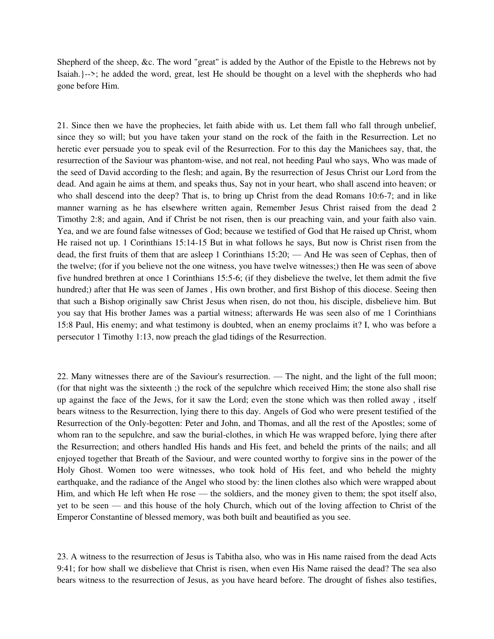Shepherd of the sheep, &c. The word "great" is added by the Author of the Epistle to the Hebrews not by Isaiah.}-->; he added the word, great, lest He should be thought on a level with the shepherds who had gone before Him.

21. Since then we have the prophecies, let faith abide with us. Let them fall who fall through unbelief, since they so will; but you have taken your stand on the rock of the faith in the Resurrection. Let no heretic ever persuade you to speak evil of the Resurrection. For to this day the Manichees say, that, the resurrection of the Saviour was phantom-wise, and not real, not heeding Paul who says, Who was made of the seed of David according to the flesh; and again, By the resurrection of Jesus Christ our Lord from the dead. And again he aims at them, and speaks thus, Say not in your heart, who shall ascend into heaven; or who shall descend into the deep? That is, to bring up Christ from the dead Romans 10:6-7; and in like manner warning as he has elsewhere written again, Remember Jesus Christ raised from the dead 2 Timothy 2:8; and again, And if Christ be not risen, then is our preaching vain, and your faith also vain. Yea, and we are found false witnesses of God; because we testified of God that He raised up Christ, whom He raised not up. 1 Corinthians 15:14-15 But in what follows he says, But now is Christ risen from the dead, the first fruits of them that are asleep 1 Corinthians 15:20; — And He was seen of Cephas, then of the twelve; (for if you believe not the one witness, you have twelve witnesses;) then He was seen of above five hundred brethren at once 1 Corinthians 15:5-6; (if they disbelieve the twelve, let them admit the five hundred;) after that He was seen of James , His own brother, and first Bishop of this diocese. Seeing then that such a Bishop originally saw Christ Jesus when risen, do not thou, his disciple, disbelieve him. But you say that His brother James was a partial witness; afterwards He was seen also of me 1 Corinthians 15:8 Paul, His enemy; and what testimony is doubted, when an enemy proclaims it? I, who was before a persecutor 1 Timothy 1:13, now preach the glad tidings of the Resurrection.

22. Many witnesses there are of the Saviour's resurrection. — The night, and the light of the full moon; (for that night was the sixteenth ;) the rock of the sepulchre which received Him; the stone also shall rise up against the face of the Jews, for it saw the Lord; even the stone which was then rolled away , itself bears witness to the Resurrection, lying there to this day. Angels of God who were present testified of the Resurrection of the Only-begotten: Peter and John, and Thomas, and all the rest of the Apostles; some of whom ran to the sepulchre, and saw the burial-clothes, in which He was wrapped before, lying there after the Resurrection; and others handled His hands and His feet, and beheld the prints of the nails; and all enjoyed together that Breath of the Saviour, and were counted worthy to forgive sins in the power of the Holy Ghost. Women too were witnesses, who took hold of His feet, and who beheld the mighty earthquake, and the radiance of the Angel who stood by: the linen clothes also which were wrapped about Him, and which He left when He rose — the soldiers, and the money given to them; the spot itself also, yet to be seen — and this house of the holy Church, which out of the loving affection to Christ of the Emperor Constantine of blessed memory, was both built and beautified as you see.

23. A witness to the resurrection of Jesus is Tabitha also, who was in His name raised from the dead Acts 9:41; for how shall we disbelieve that Christ is risen, when even His Name raised the dead? The sea also bears witness to the resurrection of Jesus, as you have heard before. The drought of fishes also testifies,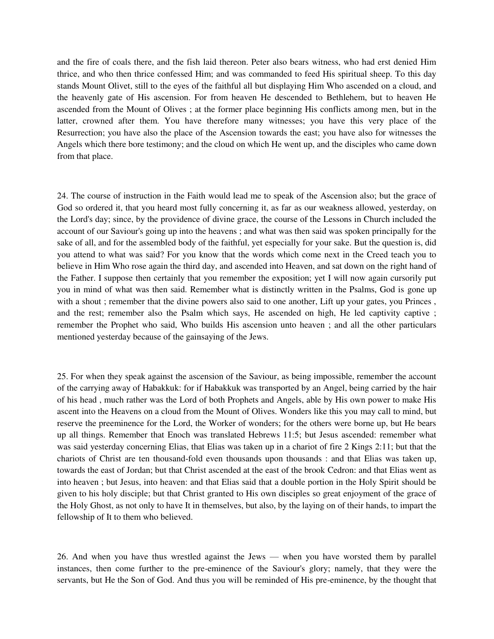and the fire of coals there, and the fish laid thereon. Peter also bears witness, who had erst denied Him thrice, and who then thrice confessed Him; and was commanded to feed His spiritual sheep. To this day stands Mount Olivet, still to the eyes of the faithful all but displaying Him Who ascended on a cloud, and the heavenly gate of His ascension. For from heaven He descended to Bethlehem, but to heaven He ascended from the Mount of Olives ; at the former place beginning His conflicts among men, but in the latter, crowned after them. You have therefore many witnesses; you have this very place of the Resurrection; you have also the place of the Ascension towards the east; you have also for witnesses the Angels which there bore testimony; and the cloud on which He went up, and the disciples who came down from that place.

24. The course of instruction in the Faith would lead me to speak of the Ascension also; but the grace of God so ordered it, that you heard most fully concerning it, as far as our weakness allowed, yesterday, on the Lord's day; since, by the providence of divine grace, the course of the Lessons in Church included the account of our Saviour's going up into the heavens ; and what was then said was spoken principally for the sake of all, and for the assembled body of the faithful, yet especially for your sake. But the question is, did you attend to what was said? For you know that the words which come next in the Creed teach you to believe in Him Who rose again the third day, and ascended into Heaven, and sat down on the right hand of the Father. I suppose then certainly that you remember the exposition; yet I will now again cursorily put you in mind of what was then said. Remember what is distinctly written in the Psalms, God is gone up with a shout ; remember that the divine powers also said to one another, Lift up your gates, you Princes, and the rest; remember also the Psalm which says, He ascended on high, He led captivity captive ; remember the Prophet who said, Who builds His ascension unto heaven ; and all the other particulars mentioned yesterday because of the gainsaying of the Jews.

25. For when they speak against the ascension of the Saviour, as being impossible, remember the account of the carrying away of Habakkuk: for if Habakkuk was transported by an Angel, being carried by the hair of his head , much rather was the Lord of both Prophets and Angels, able by His own power to make His ascent into the Heavens on a cloud from the Mount of Olives. Wonders like this you may call to mind, but reserve the preeminence for the Lord, the Worker of wonders; for the others were borne up, but He bears up all things. Remember that Enoch was translated Hebrews 11:5; but Jesus ascended: remember what was said yesterday concerning Elias, that Elias was taken up in a chariot of fire 2 Kings 2:11; but that the chariots of Christ are ten thousand-fold even thousands upon thousands : and that Elias was taken up, towards the east of Jordan; but that Christ ascended at the east of the brook Cedron: and that Elias went as into heaven ; but Jesus, into heaven: and that Elias said that a double portion in the Holy Spirit should be given to his holy disciple; but that Christ granted to His own disciples so great enjoyment of the grace of the Holy Ghost, as not only to have It in themselves, but also, by the laying on of their hands, to impart the fellowship of It to them who believed.

26. And when you have thus wrestled against the Jews — when you have worsted them by parallel instances, then come further to the pre-eminence of the Saviour's glory; namely, that they were the servants, but He the Son of God. And thus you will be reminded of His pre-eminence, by the thought that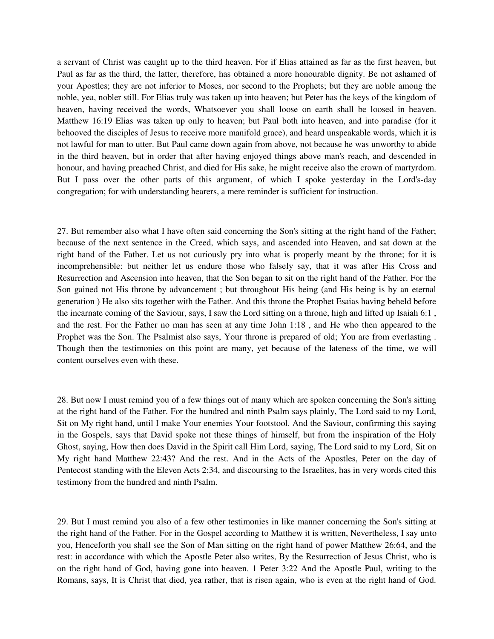a servant of Christ was caught up to the third heaven. For if Elias attained as far as the first heaven, but Paul as far as the third, the latter, therefore, has obtained a more honourable dignity. Be not ashamed of your Apostles; they are not inferior to Moses, nor second to the Prophets; but they are noble among the noble, yea, nobler still. For Elias truly was taken up into heaven; but Peter has the keys of the kingdom of heaven, having received the words, Whatsoever you shall loose on earth shall be loosed in heaven. Matthew 16:19 Elias was taken up only to heaven; but Paul both into heaven, and into paradise (for it behooved the disciples of Jesus to receive more manifold grace), and heard unspeakable words, which it is not lawful for man to utter. But Paul came down again from above, not because he was unworthy to abide in the third heaven, but in order that after having enjoyed things above man's reach, and descended in honour, and having preached Christ, and died for His sake, he might receive also the crown of martyrdom. But I pass over the other parts of this argument, of which I spoke yesterday in the Lord's-day congregation; for with understanding hearers, a mere reminder is sufficient for instruction.

27. But remember also what I have often said concerning the Son's sitting at the right hand of the Father; because of the next sentence in the Creed, which says, and ascended into Heaven, and sat down at the right hand of the Father. Let us not curiously pry into what is properly meant by the throne; for it is incomprehensible: but neither let us endure those who falsely say, that it was after His Cross and Resurrection and Ascension into heaven, that the Son began to sit on the right hand of the Father. For the Son gained not His throne by advancement ; but throughout His being (and His being is by an eternal generation ) He also sits together with the Father. And this throne the Prophet Esaias having beheld before the incarnate coming of the Saviour, says, I saw the Lord sitting on a throne, high and lifted up Isaiah 6:1 , and the rest. For the Father no man has seen at any time John 1:18 , and He who then appeared to the Prophet was the Son. The Psalmist also says, Your throne is prepared of old; You are from everlasting . Though then the testimonies on this point are many, yet because of the lateness of the time, we will content ourselves even with these.

28. But now I must remind you of a few things out of many which are spoken concerning the Son's sitting at the right hand of the Father. For the hundred and ninth Psalm says plainly, The Lord said to my Lord, Sit on My right hand, until I make Your enemies Your footstool. And the Saviour, confirming this saying in the Gospels, says that David spoke not these things of himself, but from the inspiration of the Holy Ghost, saying, How then does David in the Spirit call Him Lord, saying, The Lord said to my Lord, Sit on My right hand Matthew 22:43? And the rest. And in the Acts of the Apostles, Peter on the day of Pentecost standing with the Eleven Acts 2:34, and discoursing to the Israelites, has in very words cited this testimony from the hundred and ninth Psalm.

29. But I must remind you also of a few other testimonies in like manner concerning the Son's sitting at the right hand of the Father. For in the Gospel according to Matthew it is written, Nevertheless, I say unto you, Henceforth you shall see the Son of Man sitting on the right hand of power Matthew 26:64, and the rest: in accordance with which the Apostle Peter also writes, By the Resurrection of Jesus Christ, who is on the right hand of God, having gone into heaven. 1 Peter 3:22 And the Apostle Paul, writing to the Romans, says, It is Christ that died, yea rather, that is risen again, who is even at the right hand of God.